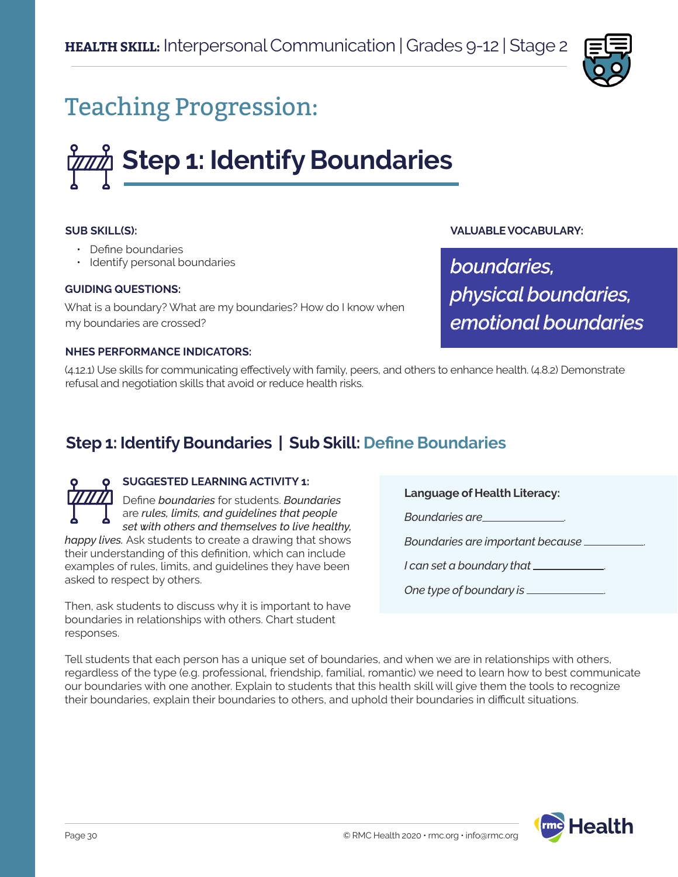

## Teaching Progression:

# **Step 1: Identify Boundaries**

#### **SUB SKILL(S):**

- Define boundaries
- Identify personal boundaries

#### **GUIDING QUESTIONS:**

What is a boundary? What are my boundaries? How do I know when my boundaries are crossed?

#### **NHES PERFORMANCE INDICATORS:**

(4.12.1) Use skills for communicating effectively with family, peers, and others to enhance health. (4.8.2) Demonstrate refusal and negotiation skills that avoid or reduce health risks.

## **Step 1: Identify Boundaries | Sub Skill: Define Boundaries**

### **SUGGESTED LEARNING ACTIVITY 1:**

Define *boundaries* for students. *Boundaries*  are *rules, limits, and guidelines that people set with others and themselves to live healthy, happy lives.* Ask students to create a drawing that shows

their understanding of this definition, which can include examples of rules, limits, and guidelines they have been asked to respect by others.

Then, ask students to discuss why it is important to have boundaries in relationships with others. Chart student responses.

**Language of Health Literacy:**

**Boundaries are** 

*Boundaries are important because* .

**VALUABLE VOCABULARY:**

*physical boundaries,* 

*emotional boundaries*

*boundaries,* 

*I can set a boundary that* .

*One type of boundary is* .

Tell students that each person has a unique set of boundaries, and when we are in relationships with others, regardless of the type (e.g. professional, friendship, familial, romantic) we need to learn how to best communicate our boundaries with one another. Explain to students that this health skill will give them the tools to recognize their boundaries, explain their boundaries to others, and uphold their boundaries in difficult situations.

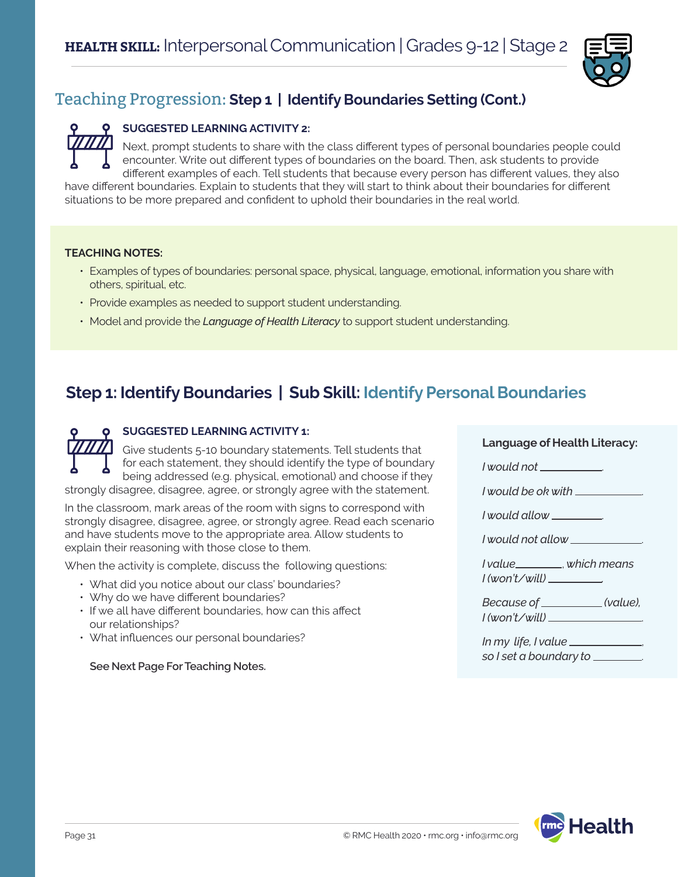

## Teaching Progression: **Step 1 | Identify Boundaries Setting (Cont.)**

#### **SUGGESTED LEARNING ACTIVITY 2:**

Next, prompt students to share with the class different types of personal boundaries people could encounter. Write out different types of boundaries on the board. Then, ask students to provide different examples of each. Tell students that because every person has different values, they also have different boundaries. Explain to students that they will start to think about their boundaries for different

situations to be more prepared and confident to uphold their boundaries in the real world.

#### **TEACHING NOTES:**

- Examples of types of boundaries: personal space, physical, language, emotional, information you share with others, spiritual, etc.
- Provide examples as needed to support student understanding.
- Model and provide the *Language of Health Literacy* to support student understanding.

## **Step 1: Identify Boundaries | Sub Skill: Identify Personal Boundaries**

#### **SUGGESTED LEARNING ACTIVITY 1:**

Give students 5-10 boundary statements. Tell students that for each statement, they should identify the type of boundary being addressed (e.g. physical, emotional) and choose if they strongly disagree, disagree, agree, or strongly agree with the statement.

In the classroom, mark areas of the room with signs to correspond with strongly disagree, disagree, agree, or strongly agree. Read each scenario and have students move to the appropriate area. Allow students to explain their reasoning with those close to them.

When the activity is complete, discuss the following questions:

- What did you notice about our class' boundaries?
- Why do we have different boundaries?
- If we all have different boundaries, how can this affect our relationships?
- What influences our personal boundaries?

*so I set a boundary to* . **See Next Page For Teaching Notes.**

#### **Language of Health Literacy:**

*I* would not \_\_\_\_\_\_\_\_\_\_

*I would be ok with* .

*I would allow* .

*I would not allow* .

*I value* , *which means I (won't/will) .*

*Because of* \_\_\_\_\_\_\_\_\_\_\_(value), *I (won't/will)* .

*In my life, I value* ,

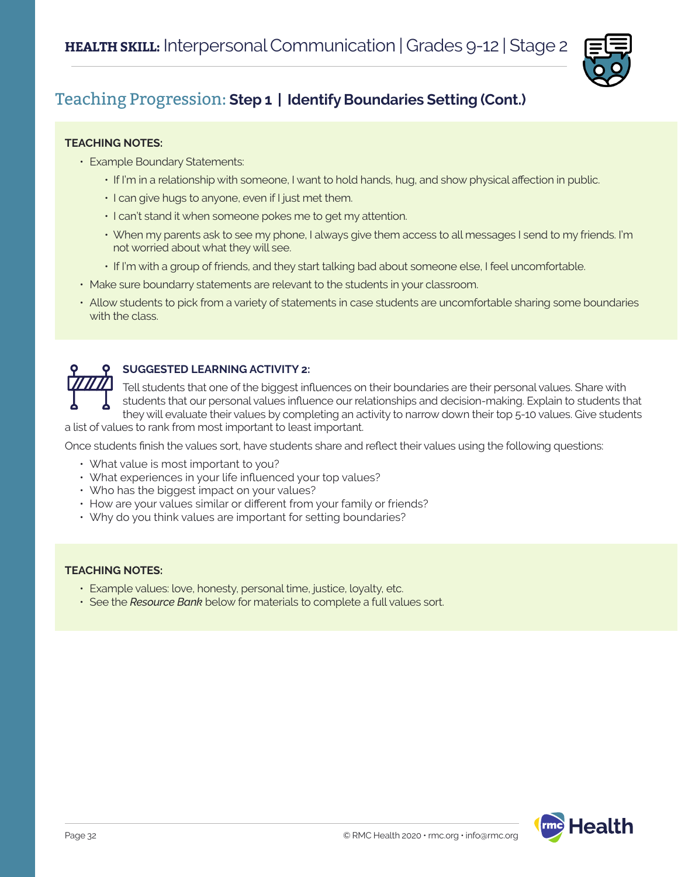

## Teaching Progression: **Step 1 | Identify Boundaries Setting (Cont.)**

#### **TEACHING NOTES:**

- Example Boundary Statements:
	- If I'm in a relationship with someone, I want to hold hands, hug, and show physical affection in public.
	- I can give hugs to anyone, even if I just met them.
	- I can't stand it when someone pokes me to get my attention.
	- When my parents ask to see my phone, I always give them access to all messages I send to my friends. I'm not worried about what they will see.
	- If I'm with a group of friends, and they start talking bad about someone else, I feel uncomfortable.
- Make sure boundarry statements are relevant to the students in your classroom.
- Allow students to pick from a variety of statements in case students are uncomfortable sharing some boundaries with the class.



#### **SUGGESTED LEARNING ACTIVITY 2:**

Tell students that one of the biggest influences on their boundaries are their personal values. Share with students that our personal values influence our relationships and decision-making. Explain to students that they will evaluate their values by completing an activity to narrow down their top 5-10 values. Give students

a list of values to rank from most important to least important.

Once students finish the values sort, have students share and reflect their values using the following questions:

- What value is most important to you?
- What experiences in your life influenced your top values?
- Who has the biggest impact on your values?
- How are your values similar or different from your family or friends?
- Why do you think values are important for setting boundaries?

#### **TEACHING NOTES:**

- Example values: love, honesty, personal time, justice, loyalty, etc.
- See the *Resource Bank* below for materials to complete a full values sort.